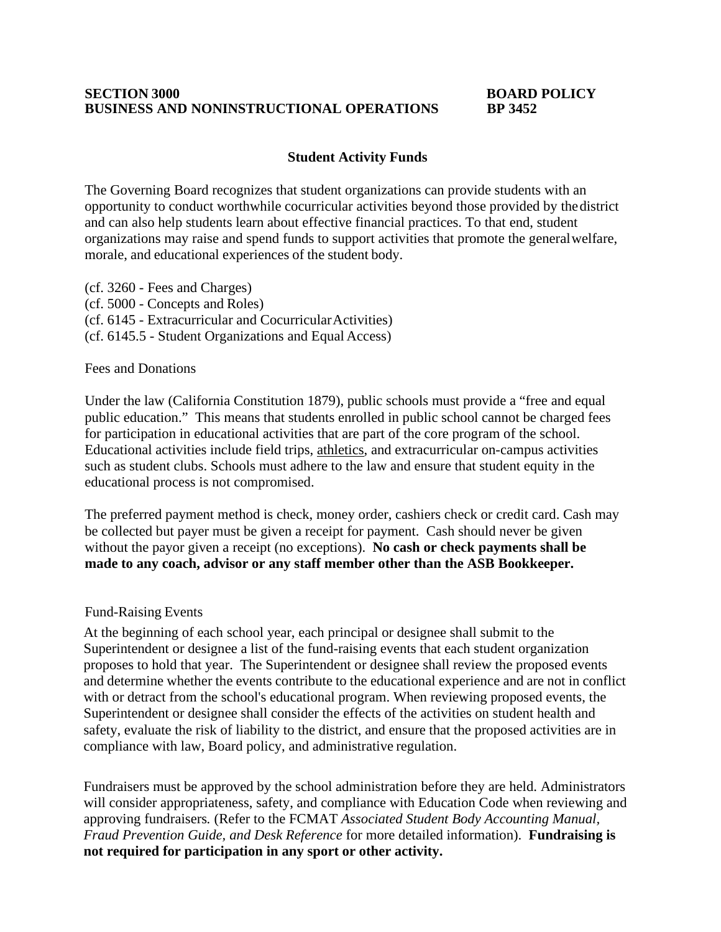### **SECTION 3000 BOARD POLICY BUSINESS AND NONINSTRUCTIONAL OPERATIONS**

# **Student Activity Funds**

The Governing Board recognizes that student organizations can provide students with an opportunity to conduct worthwhile cocurricular activities beyond those provided by thedistrict and can also help students learn about effective financial practices. To that end, student organizations may raise and spend funds to support activities that promote the generalwelfare, morale, and educational experiences of the student body.

(cf. 3260 - Fees and Charges) (cf. 5000 - Concepts and Roles) (cf. 6145 - Extracurricular and CocurricularActivities) (cf. 6145.5 - Student Organizations and Equal Access)

# Fees and Donations

Under the law (California Constitution 1879), public schools must provide a "free and equal public education." This means that students enrolled in public school cannot be charged fees for participation in educational activities that are part of the core program of the school. Educational activities include field trips, athletics, and extracurricular on-campus activities such as student clubs. Schools must adhere to the law and ensure that student equity in the educational process is not compromised.

The preferred payment method is check, money order, cashiers check or credit card. Cash may be collected but payer must be given a receipt for payment. Cash should never be given without the payor given a receipt (no exceptions). **No cash or check payments shall be made to any coach, advisor or any staff member other than the ASB Bookkeeper.**

### Fund-Raising Events

At the beginning of each school year, each principal or designee shall submit to the Superintendent or designee a list of the fund-raising events that each student organization proposes to hold that year. The Superintendent or designee shall review the proposed events and determine whether the events contribute to the educational experience and are not in conflict with or detract from the school's educational program. When reviewing proposed events, the Superintendent or designee shall consider the effects of the activities on student health and safety, evaluate the risk of liability to the district, and ensure that the proposed activities are in compliance with law, Board policy, and administrative regulation.

Fundraisers must be approved by the school administration before they are held. Administrators will consider appropriateness, safety, and compliance with Education Code when reviewing and approving fundraisers*.* (Refer to the FCMAT *Associated Student Body Accounting Manual, Fraud Prevention Guide, and Desk Reference* for more detailed information). **Fundraising is not required for participation in any sport or other activity.**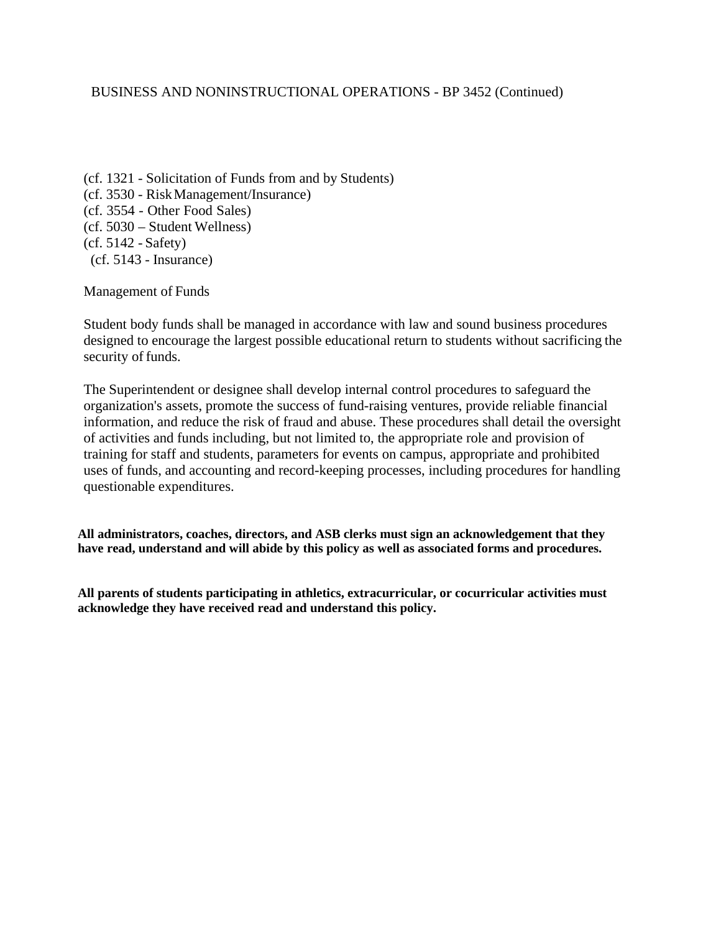# BUSINESS AND NONINSTRUCTIONAL OPERATIONS - BP 3452 (Continued)

(cf. 1321 - Solicitation of Funds from and by Students) (cf. 3530 - RiskManagement/Insurance) (cf. 3554 - Other Food Sales) (cf. 5030 – Student Wellness) (cf. 5142 - Safety) (cf. 5143 - Insurance)

Management of Funds

Student body funds shall be managed in accordance with law and sound business procedures designed to encourage the largest possible educational return to students without sacrificing the security of funds.

The Superintendent or designee shall develop internal control procedures to safeguard the organization's assets, promote the success of fund-raising ventures, provide reliable financial information, and reduce the risk of fraud and abuse. These procedures shall detail the oversight of activities and funds including, but not limited to, the appropriate role and provision of training for staff and students, parameters for events on campus, appropriate and prohibited uses of funds, and accounting and record-keeping processes, including procedures for handling questionable expenditures.

**All administrators, coaches, directors, and ASB clerks must sign an acknowledgement that they have read, understand and will abide by this policy as well as associated forms and procedures.** 

**All parents of students participating in athletics, extracurricular, or cocurricular activities must acknowledge they have received read and understand this policy.**